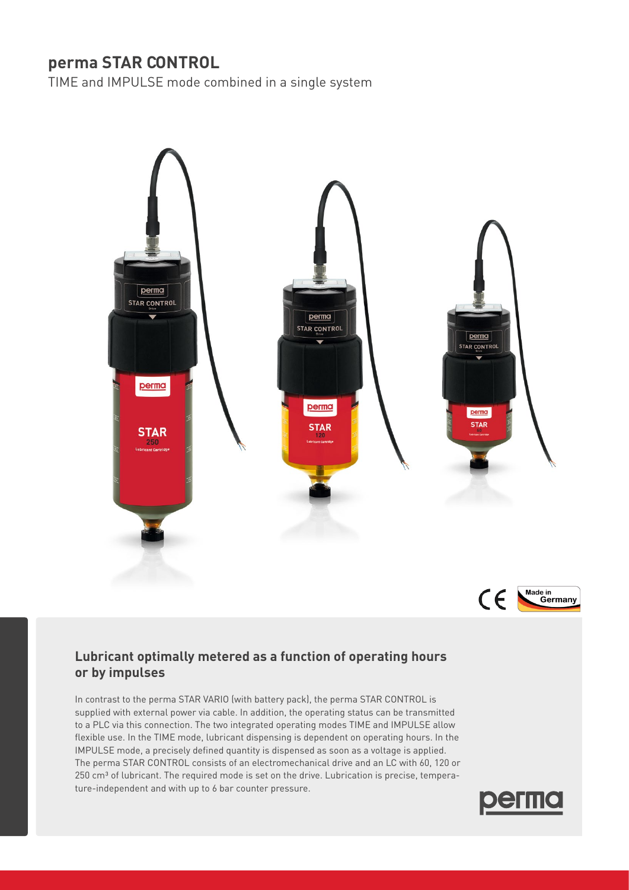# **perma STAR CONTROL**

TIME and IMPULSE mode combined in a single system





## **Lubricant optimally metered as a function of operating hours or by impulses**

In contrast to the perma STAR VARIO (with battery pack), the perma STAR CONTROL is supplied with external power via cable. In addition, the operating status can be transmitted to a PLC via this connection. The two integrated operating modes TIME and IMPULSE allow flexible use. In the TIME mode, lubricant dispensing is dependent on operating hours. In the IMPULSE mode, a precisely defined quantity is dispensed as soon as a voltage is applied. The perma STAR CONTROL consists of an electromechanical drive and an LC with 60, 120 or 250 cm<sup>3</sup> of lubricant. The required mode is set on the drive. Lubrication is precise, temperature-independent and with up to 6 bar counter pressure.